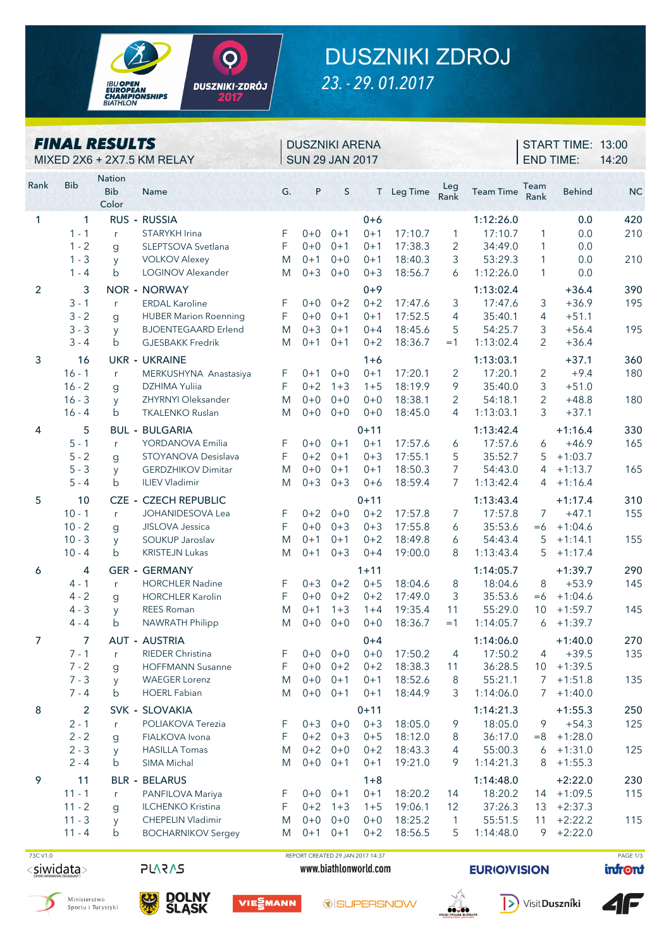

## **DUSZNIKI ZDROJ** 23. - 29. 01.2017

| <b>FINAL RESULTS</b><br>MIXED 2X6 + 2X7.5 KM RELAY |                      |                                      |                                              |        | <b>DUSZNIKI ARENA</b><br><b>SUN 29 JAN 2017</b> |                    |                     |                    |                | START TIME: 13:00<br><b>END TIME:</b> |                      | 14:20                  |            |
|----------------------------------------------------|----------------------|--------------------------------------|----------------------------------------------|--------|-------------------------------------------------|--------------------|---------------------|--------------------|----------------|---------------------------------------|----------------------|------------------------|------------|
| Rank                                               | <b>Bib</b>           | <b>Nation</b><br><b>Bib</b><br>Color | <b>Name</b><br><b>A PERSONAL PROPER</b>      | G.     | P                                               | S                  |                     | T Leg Time         | Leg<br>Rank    | <b>Team Time</b>                      | Team<br>Rank         | <b>Behind</b>          | <b>NC</b>  |
| 1                                                  | $\mathbf{1}$         |                                      | RUS - RUSSIA                                 |        |                                                 |                    | $0 + 6$             |                    |                | 1:12:26.0                             |                      | 0.0                    | 420        |
|                                                    | $1 - 1$              | r                                    | STARYKH Irina                                | F      | $0 + 0$                                         | $0+1$              | $0 + 1$             | 17:10.7            | 1              | 17:10.7                               | 1                    | 0.0                    | 210        |
|                                                    | $1 - 2$              | g                                    | SLEPTSOVA Svetlana                           | F      | $0 + 0$                                         | $0 + 1$            | $0 + 1$             | 17:38.3            | 2              | 34:49.0                               | 1                    | 0.0                    |            |
|                                                    | $1 - 3$              | y                                    | <b>VOLKOV Alexey</b>                         | M      | $0 + 1$                                         | $0 + 0$            | $0 + 1$             | 18:40.3            | 3              | 53:29.3                               | 1                    | 0.0                    | 210        |
|                                                    | $1 - 4$              | b                                    | LOGINOV Alexander                            | M      | $0 + 3$                                         | $0 + 0$            | $0 + 3$             | 18:56.7            | 6              | 1:12:26.0                             | 1                    | 0.0                    |            |
| $\overline{2}$                                     | 3                    |                                      | <b>NOR - NORWAY</b>                          |        |                                                 |                    | $0 + 9$             |                    |                | 1:13:02.4                             |                      | $+36.4$                | 390        |
|                                                    | $3 - 1$              | r                                    | <b>ERDAL Karoline</b>                        | F      | $0 + 0$                                         | $0 + 2$            | $0 + 2$             | 17:47.6            | 3              | 17:47.6                               | 3                    | $+36.9$                | 195        |
|                                                    | $3 - 2$              | $\mathbf{g}$                         | <b>HUBER Marion Roenning</b>                 | F      | $0 + 0$                                         | $0 + 1$            | $0 + 1$             | 17:52.5            | 4              | 35:40.1                               | 4                    | $+51.1$                |            |
|                                                    | $3 - 3$              | y                                    | <b>BJOENTEGAARD Erlend</b>                   | M      | $0 + 3$                                         | $0 + 1$            | $0 + 4$             | 18:45.6            | 5              | 54:25.7                               | 3                    | $+56.4$                | 195        |
|                                                    | $3 - 4$              | b                                    | <b>GJESBAKK Fredrik</b>                      | M      | $0 + 1$                                         | $0 + 1$            | $0 + 2$             | 18:36.7            | $=1$           | 1:13:02.4                             | 2                    | $+36.4$                |            |
| 3                                                  | 16                   |                                      | <b>UKR - UKRAINE</b>                         |        |                                                 |                    | $1 + 6$             |                    |                | 1:13:03.1                             |                      | $+37.1$                | 360        |
|                                                    | $16 - 1$             | r                                    | MERKUSHYNA Anastasiya                        | F      | $0 + 1$                                         | $0 + 0$            | $0 + 1$             | 17:20.1            | $\overline{c}$ | 17:20.1                               | $\overline{2}$       | $+9.4$                 | 180        |
|                                                    | $16 - 2$             | $\mathbf{g}$                         | <b>DZHIMA Yulija</b>                         | F      | $0 + 2$                                         | $1 + 3$            | $1 + 5$             | 18:19.9            | 9              | 35:40.0                               | 3                    | $+51.0$                |            |
|                                                    | $16 - 3$             | y                                    | ZHYRNYI Oleksander                           | M      | $0 + 0$                                         | $0 + 0$            | $0 + 0$             | 18:38.1            | 2              | 54:18.1                               | $\overline{2}$       | $+48.8$                | 180        |
|                                                    | $16 - 4$             | b                                    | <b>TKALENKO Ruslan</b>                       | M      | $0 + 0$                                         | $0 + 0$            | $0 + 0$             | 18:45.0            | $\overline{4}$ | 1:13:03.1                             | 3                    | $+37.1$                |            |
| 4                                                  | 5                    |                                      | <b>BUL - BULGARIA</b>                        |        |                                                 |                    | $0 + 11$            |                    |                | 1:13:42.4                             |                      | $+1:16.4$              | 330        |
|                                                    | $5 - 1$              | r                                    | YORDANOVA Emilia                             | F      | $0 + 0$                                         | $0 + 1$            | $0 + 1$             | 17:57.6            | 6              | 17:57.6                               | 6                    | $+46.9$                | 165        |
|                                                    | $5 - 2$              | g                                    | STOYANOVA Desislava                          | F      | $0 + 2$                                         | $0 + 1$            | $0 + 3$             | 17:55.1            | 5              | 35:52.7                               | 5                    | $+1:03.7$              |            |
|                                                    | $5 - 3$              | y                                    | <b>GERDZHIKOV Dimitar</b>                    | M      | $0 + 0$                                         | $0 + 1$            | $0 + 1$             | 18:50.3            | 7              | 54:43.0                               | 4                    | $+1:13.7$              | 165        |
|                                                    | $5 - 4$              | b                                    | <b>ILIEV Vladimir</b>                        | M      | $0 + 3$                                         | $0 + 3$            | $0 + 6$             | 18:59.4            | 7              | 1:13:42.4                             | 4                    | $+1:16.4$              |            |
| 5                                                  | 10                   |                                      | <b>CZE - CZECH REPUBLIC</b>                  |        |                                                 |                    | $0 + 11$            |                    |                | 1:13:43.4                             |                      | $+1:17.4$              | 310        |
|                                                    | $10 - 1$             | r                                    | JOHANIDESOVA Lea                             | F      | $0 + 2$                                         | $0 + 0$            | $0 + 2$             | 17:57.8            | 7              | 17:57.8                               | $\overline{7}$       | $+47.1$                | 155        |
|                                                    | $10 - 2$             | $\mathbf{g}$                         | JISLOVA Jessica                              | F      | $0+0$                                           | $0 + 3$            | $0 + 3$             | 17:55.8            | 6              | 35:53.6                               | $=6$                 | $+1:04.6$              |            |
|                                                    | $10 - 3$<br>$10 - 4$ | y                                    | SOUKUP Jaroslav                              | M<br>M | $0 + 1$<br>$0 + 1$                              | $0 + 1$<br>$0 + 3$ | $0 + 2$<br>$0 + 4$  | 18:49.8<br>19:00.0 | 6              | 54:43.4                               | 5                    | $+1:14.1$              | 155        |
|                                                    |                      | b                                    | <b>KRISTEJN Lukas</b>                        |        |                                                 |                    |                     |                    | 8              | 1:13:43.4                             | 5                    | $+1:17.4$              |            |
| 6                                                  | 4                    |                                      | <b>GER - GERMANY</b>                         |        |                                                 |                    | $1 + 11$            |                    |                | 1:14:05.7                             |                      | $+1:39.7$              | 290        |
|                                                    | $4 - 1$              | r                                    | <b>HORCHLER Nadine</b>                       | F      | $0 + 3$                                         | $0 + 2$            | $0 + 5$             | 18:04.6            | 8              | 18:04.6                               | 8                    | $+53.9$                | 145        |
|                                                    | $4 - 2$<br>$4 - 3$   | $\mathbf{g}$                         | <b>HORCHLER Karolin</b><br><b>REES Roman</b> | F      | $0 + 0$<br>$0 + 1$                              | $0 + 2$<br>$1 + 3$ | $0 + 2$<br>$1 + 4$  | 17:49.0<br>19:35.4 | 3              | 35:53.6<br>55:29.0                    | $=6$                 | $+1:04.6$              | 145        |
|                                                    | $4 - 4$              | y<br>b                               | NAWRATH Philipp                              | M<br>M | $0 + 0$                                         | $0 + 0$            | $0 + 0$             | 18:36.7            | 11<br>$=1$     | 1:14:05.7                             | 10<br>6              | $+1:59.7$<br>$+1:39.7$ |            |
|                                                    |                      |                                      |                                              |        |                                                 |                    |                     |                    |                |                                       |                      |                        |            |
| 7                                                  | $\overline{7}$       |                                      | <b>AUT - AUSTRIA</b>                         |        |                                                 |                    | $0 + 4$             |                    |                | 1:14:06.0                             |                      | $+1:40.0$              | 270        |
|                                                    | $7 - 1$<br>$7 - 2$   | r                                    | RIEDER Christina<br><b>HOFFMANN Susanne</b>  | F<br>F | $0 + 0$<br>$0 + 0$                              | $0 + 0$<br>$0 + 2$ | $0+0$<br>$0 + 2$    | 17:50.2<br>18:38.3 | 4              | 17:50.2                               | 4                    | $+39.5$<br>$+1:39.5$   | 135        |
|                                                    | $7 - 3$              | g<br>y                               | <b>WAEGER Lorenz</b>                         | M      | $0 + 0$                                         | $0 + 1$            | $0 + 1$             | 18:52.6            | 11<br>8        | 36:28.5<br>55:21.1                    | 10 <sup>°</sup><br>7 | $+1:51.8$              | 135        |
|                                                    | $7 - 4$              | b                                    | <b>HOERL Fabian</b>                          | M      | $0+0$                                           | $0 + 1$            | $0 + 1$             | 18:44.9            | 3              | 1:14:06.0                             | 7                    | $+1:40.0$              |            |
|                                                    |                      |                                      |                                              |        |                                                 |                    |                     |                    |                |                                       |                      |                        |            |
| 8                                                  | 2<br>$2 - 1$         |                                      | SVK - SLOVAKIA<br>POLIAKOVA Terezia          | F      | $0 + 3$                                         | $0 + 0$            | $0 + 11$<br>$0 + 3$ | 18:05.0            | 9              | 1:14:21.3<br>18:05.0                  | 9                    | $+1:55.3$<br>$+54.3$   | 250<br>125 |
|                                                    | $2 - 2$              | r<br>g                               | FIALKOVA Ivona                               | F      | $0 + 2$                                         | $0 + 3$            | $0 + 5$             | 18:12.0            | 8              | 36:17.0                               | $=8$                 | $+1:28.0$              |            |
|                                                    | $2 - 3$              | y                                    | <b>HASILLA Tomas</b>                         | M      | $0 + 2$                                         | $0 + 0$            | $0 + 2$             | 18:43.3            | 4              | 55:00.3                               | 6                    | $+1:31.0$              | 125        |
|                                                    | $2 - 4$              | b                                    | SIMA Michal                                  | M      | $0+0$                                           | $0 + 1$            | $0 + 1$             | 19:21.0            | 9              | 1:14:21.3                             | 8                    | $+1:55.3$              |            |
| 9                                                  | 11                   |                                      | <b>BLR - BELARUS</b>                         |        |                                                 |                    | $1 + 8$             |                    |                | 1:14:48.0                             |                      | $+2:22.0$              | 230        |
|                                                    | $11 - 1$             | $r_{\rm}$                            | PANFILOVA Mariya                             | F      |                                                 | $0+0$ $0+1$        | $0 + 1$             | 18:20.2            | 14             | 18:20.2                               |                      | $14 + 1:09.5$          | 115        |
|                                                    | $11 - 2$             | g                                    | <b>ILCHENKO Kristina</b>                     | F      | $0 + 2$                                         | $1 + 3$            | $1 + 5$             | 19:06.1            | 12             | 37:26.3                               | 13                   | $+2:37.3$              |            |
|                                                    | $11 - 3$             | y                                    | CHEPELIN Vladimir                            | M      | $0+0$                                           | $0 + 0$            | $0 + 0$             | 18:25.2            | 1              | 55:51.5                               | 11                   | $+2:22.2$              | 115        |
|                                                    | $11 - 4$             | b                                    | <b>BOCHARNIKOV Sergey</b>                    | M      | $0 + 1$                                         | $0 + 1$            | $0 + 2$             | 18:56.5            | 5              | 1:14:48.0                             | 9                    | $+2:22.0$              |            |
|                                                    |                      |                                      |                                              |        |                                                 |                    |                     |                    |                |                                       |                      |                        |            |

## 73C V1.0



















*SISUPERSNOW* 





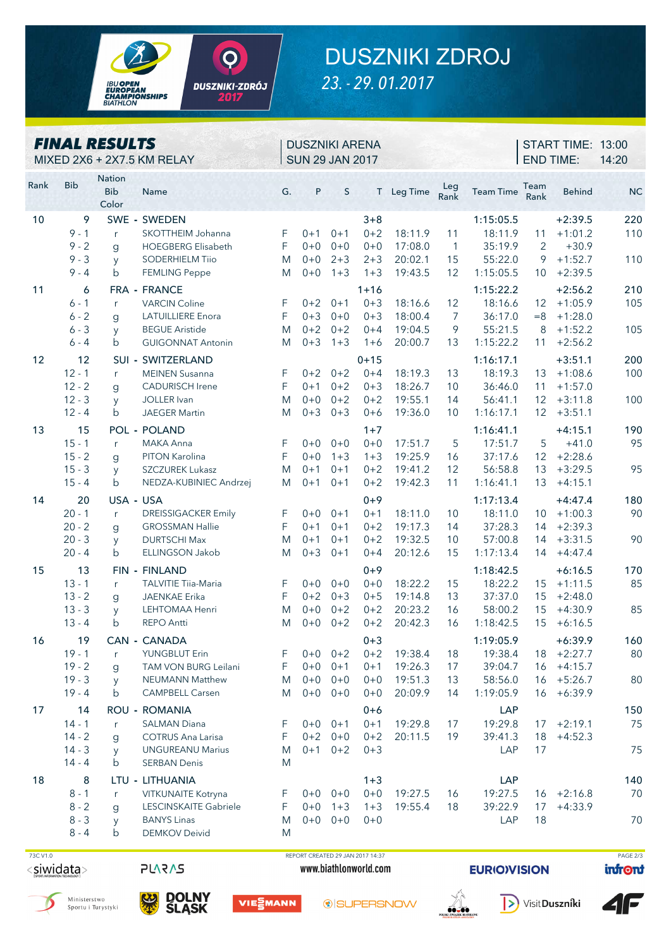

## **DUSZNIKI ZDROJ** 23. - 29. 01.2017

| <b>FINAL RESULTS</b><br>MIXED 2X6 + 2X7.5 KM RELAY |                      |                                      |                                                 | <b>SUN 29 JAN 2017</b> |                    | <b>DUSZNIKI ARENA</b>  |                    |                    |              | START TIME: 13:00<br><b>END TIME:</b> |                   | 14:20                  |           |
|----------------------------------------------------|----------------------|--------------------------------------|-------------------------------------------------|------------------------|--------------------|------------------------|--------------------|--------------------|--------------|---------------------------------------|-------------------|------------------------|-----------|
| Rank                                               | <b>Bib</b>           | <b>Nation</b><br><b>Bib</b><br>Color | Name<br>an manang pangangan                     | G.                     | P                  | S                      |                    | T Leg Time         | Leg<br>Rank  | <b>Team Time</b>                      | Team<br>Rank      | <b>Behind</b>          | <b>NC</b> |
| 10                                                 | 9                    |                                      | SWE - SWEDEN                                    |                        |                    |                        | $3 + 8$            |                    |              | 1:15:05.5                             |                   | $+2:39.5$              | 220       |
|                                                    | $9 - 1$              | r                                    | SKOTTHEIM Johanna                               | F                      | $0 + 1$            | $0 + 1$                | $0 + 2$            | 18:11.9            | 11           | 18:11.9                               | 11                | $+1:01.2$              | 110       |
|                                                    | $9 - 2$              | g                                    | <b>HOEGBERG Elisabeth</b>                       | F                      | $0 + 0$            | $0 + 0$                | $0 + 0$            | 17:08.0            | $\mathbf{1}$ | 35:19.9                               | $\overline{2}$    | $+30.9$                |           |
|                                                    | $9 - 3$              | <b>V</b>                             | <b>SODERHIELM Tiio</b>                          | M                      | $0 + 0$            | $2 + 3$                | $2 + 3$            | 20:02.1            | 15           | 55:22.0                               | 9                 | $+1:52.7$              | 110       |
|                                                    | $9 - 4$              | b                                    | <b>FEMLING Peppe</b>                            | M                      | $0 + 0$            | $1 + 3$                | $1 + 3$            | 19:43.5            | 12           | 1:15:05.5                             | 10                | $+2:39.5$              |           |
| 11                                                 | 6                    |                                      | FRA - FRANCE                                    |                        |                    |                        | $1 + 16$           |                    |              | 1:15:22.2                             |                   | $+2:56.2$              | 210       |
|                                                    | $6 - 1$              | r                                    | <b>VARCIN Coline</b>                            | F                      | $0 + 2$            | $0 + 1$                | $0 + 3$            | 18:16.6            | 12           | 18:16.6                               | 12                | $+1:05.9$              | 105       |
|                                                    | $6 - 2$              | g                                    | <b>LATUILLIERE Enora</b>                        | F                      | $0 + 3$            | $0 + 0$                | $0 + 3$            | 18:00.4            | 7            | 36:17.0                               | $=8$              | $+1:28.0$              |           |
|                                                    | $6 - 3$              | y                                    | <b>BEGUE Aristide</b>                           | M                      | $0 + 2$            | $0 + 2$                | $0 + 4$            | 19:04.5            | 9            | 55:21.5                               | 8                 | $+1:52.2$              | 105       |
|                                                    | $6 - 4$              | b                                    | <b>GUIGONNAT Antonin</b>                        | M                      | $0 + 3$            | $1 + 3$                | $1 + 6$            | 20:00.7            | 13           | 1:15:22.2                             | 11                | $+2:56.2$              |           |
| 12                                                 | 12                   |                                      | SUI - SWITZERLAND                               |                        |                    |                        | $0 + 15$           |                    |              | 1:16:17.1                             |                   | $+3:51.1$              | 200       |
|                                                    | $12 - 1$             | r                                    | <b>MEINEN Susanna</b>                           | F                      | $0 + 2$            | $0+2$                  | $0 + 4$            | 18:19.3            | 13           | 18:19.3                               | 13                | $+1:08.6$              | 100       |
|                                                    | $12 - 2$             | $\mathbf{q}$                         | <b>CADURISCH Irene</b>                          | F                      | $0 + 1$            | $0 + 2$                | $0 + 3$            | 18:26.7            | 10           | 36:46.0                               | 11                | $+1:57.0$              |           |
|                                                    | $12 - 3$             | y                                    | <b>JOLLER</b> Ivan                              | M                      | $0 + 0$            | $0 + 2$                | $0 + 2$            | 19:55.1            | 14           | 56:41.1                               | 12                | $+3:11.8$              | 100       |
|                                                    | $12 - 4$             | b                                    | <b>JAEGER Martin</b>                            | M                      | $0 + 3$            | $0 + 3$                | $0 + 6$            | 19:36.0            | 10           | 1:16:17.1                             | $12 \overline{ }$ | $+3:51.1$              |           |
| 13                                                 | 15                   |                                      | POL - POLAND                                    |                        |                    |                        | $1 + 7$            |                    |              | 1:16:41.1                             |                   | $+4:15.1$              | 190       |
|                                                    | $15 - 1$             | r                                    | MAKA Anna                                       | F                      | $0 + 0$            | $0 + 0$                | $0 + 0$            | 17:51.7            | 5            | 17:51.7                               | 5                 | $+41.0$                | 95        |
|                                                    | $15 - 2$             | $\mathbf{g}$                         | PITON Karolina                                  | F                      | $0 + 0$            | $1 + 3$                | $1 + 3$            | 19:25.9            | 16           | 37:17.6                               | 12                | $+2:28.6$              |           |
|                                                    | $15 - 3$             | y                                    | SZCZUREK Lukasz                                 | M                      | $0 + 1$            | $0 + 1$                | $0 + 2$            | 19:41.2            | 12           | 56:58.8                               | 13                | $+3:29.5$              | 95        |
|                                                    | $15 - 4$             | b                                    | NEDZA-KUBINIEC Andrzej                          | M                      | $0 + 1$            | $0 + 1$                | $0 + 2$            | 19:42.3            | 11           | 1:16:41.1                             | 13                | $+4:15.1$              |           |
| 14                                                 | 20                   |                                      | USA - USA                                       |                        |                    |                        | $0 + 9$            |                    |              | 1:17:13.4                             |                   | $+4:47.4$              | 180       |
|                                                    | $20 - 1$             | r                                    | <b>DREISSIGACKER Emily</b>                      | F                      | $0 + 0$            | $0 + 1$                | $0 + 1$            | 18:11.0            | 10           | 18:11.0                               | 10                | $+1:00.3$              | 90        |
|                                                    | $20 - 2$             | g                                    | <b>GROSSMAN Hallie</b>                          | F                      | $0 + 1$            | $0 + 1$                | $0 + 2$            | 19:17.3            | 14           | 37:28.3                               | 14                | $+2:39.3$              |           |
|                                                    | $20 - 3$             | y                                    | <b>DURTSCHI Max</b>                             | M                      | $0 + 1$            | $0 + 1$                | $0 + 2$            | 19:32.5            | 10           | 57:00.8                               | 14                | $+3:31.5$              | 90        |
|                                                    | $20 - 4$             | b                                    | ELLINGSON Jakob                                 | M                      | $0 + 3$            | $0 + 1$                | $0 + 4$            | 20:12.6            | 15           | 1:17:13.4                             | 14                | $+4:47.4$              |           |
| 15                                                 | 13                   |                                      | FIN - FINLAND                                   |                        |                    |                        | $0+9$              |                    |              | 1:18:42.5                             |                   | $+6:16.5$              | 170       |
|                                                    | $13 - 1$             | r                                    | <b>TALVITIE Tiia-Maria</b>                      | F                      | $0 + 0$            | $0 + 0$                | $0 + 0$            | 18:22.2            | 15           | 18:22.2                               | 15                | $+1:11.5$              | 85        |
|                                                    | $13 - 2$             | $\mathbf{g}$                         | <b>JAENKAE Erika</b>                            | F                      | $0 + 2$            | $0 + 3$                | $0 + 5$            | 19:14.8            | 13           | 37:37.0                               | 15                | $+2:48.0$              |           |
|                                                    | $13 - 3$<br>$13 - 4$ | <b>V</b><br>b                        | LEHTOMAA Henri<br><b>REPO Antti</b>             | M<br>M                 | $0 + 0$<br>$0 + 0$ | $0 + 2$<br>$0 + 2$     | $0 + 2$<br>$0 + 2$ | 20:23.2<br>20:42.3 | 16<br>16     | 58:00.2<br>1:18:42.5                  | 15<br>15          | $+4:30.9$              | 85        |
|                                                    |                      |                                      |                                                 |                        |                    |                        |                    |                    |              |                                       |                   | $+6:16.5$              |           |
| 16                                                 | 19                   |                                      | CAN - CANADA                                    |                        |                    |                        | $0 + 3$            |                    |              | 1:19:05.9                             |                   | $+6:39.9$              | 160       |
|                                                    | $19 - 1$             | r                                    | <b>YUNGBLUT Erin</b>                            | F                      |                    | $0+0$ $0+2$            | $0+2$              | 19:38.4            | 18           | 19:38.4                               | 18                | $+2:27.7$              | 80        |
|                                                    | $19 - 2$<br>$19 - 3$ | g                                    | TAM VON BURG Leilani<br><b>NEUMANN Matthew</b>  | F<br>M                 | $0+0$<br>$0+0$     | $0 + 1$<br>$0 + 0$     | $0 + 1$<br>$0 + 0$ | 19:26.3            | 17           | 39:04.7                               | 16                | $+4:15.7$<br>$+5:26.7$ |           |
|                                                    | $19 - 4$             | y<br>b                               | <b>CAMPBELL Carsen</b>                          | M                      | $0 + 0$            | $0 + 0$                | $0 + 0$            | 19:51.3<br>20:09.9 | 13<br>14     | 58:56.0<br>1:19:05.9                  | 16<br>16          | $+6:39.9$              | 80        |
|                                                    |                      |                                      |                                                 |                        |                    |                        |                    |                    |              |                                       |                   |                        |           |
| 17                                                 | 14                   |                                      | ROU - ROMANIA                                   |                        |                    |                        | $0 + 6$            |                    |              | LAP                                   |                   |                        | 150       |
|                                                    | $14 - 1$<br>$14 - 2$ | r                                    | <b>SALMAN Diana</b><br><b>COTRUS Ana Larisa</b> | F<br>F                 | $0 + 2$            | $0+0$ $0+1$<br>$0 + 0$ | $0 + 1$<br>$0 + 2$ | 19:29.8            | 17<br>19     | 19:29.8<br>39:41.3                    | 17<br>18          | $+2:19.1$<br>$+4:52.3$ | 75        |
|                                                    | $14 - 3$             | g                                    | <b>UNGUREANU Marius</b>                         | M                      | $0 + 1$            | $0 + 2$                | $0 + 3$            | 20:11.5            |              | LAP                                   | 17                |                        | 75        |
|                                                    | $14 - 4$             | y<br>b                               | <b>SERBAN Denis</b>                             | M                      |                    |                        |                    |                    |              |                                       |                   |                        |           |
|                                                    |                      |                                      |                                                 |                        |                    |                        |                    |                    |              |                                       |                   |                        |           |
| 18                                                 | 8<br>$8 - 1$         |                                      | LTU - LITHUANIA<br>VITKUNAITE Kotryna           |                        | $0+0$              | $0 + 0$                | $1 + 3$            | 19:27.5            |              | LAP<br>19:27.5                        | 16                | $+2:16.8$              | 140<br>70 |
|                                                    | $8 - 2$              | $r_{\parallel}$                      | LESCINSKAITE Gabriele                           | F<br>F                 | $0+0$              | $1 + 3$                | $0+0$<br>$1 + 3$   | 19:55.4            | 16<br>18     | 39:22.9                               | 17                | $+4:33.9$              |           |
|                                                    | $8 - 3$              | $\mathbf{g}$<br>y                    | <b>BANYS Linas</b>                              | M                      | $0+0$              | $0 + 0$                | $0 + 0$            |                    |              | LAP                                   | 18                |                        | 70        |
|                                                    | $8 - 4$              | b                                    | <b>DEMKOV Deivid</b>                            | M                      |                    |                        |                    |                    |              |                                       |                   |                        |           |
|                                                    |                      |                                      |                                                 |                        |                    |                        |                    |                    |              |                                       |                   |                        |           |

73C V1.0 <siwidata>

















*SISUPERSNOW*